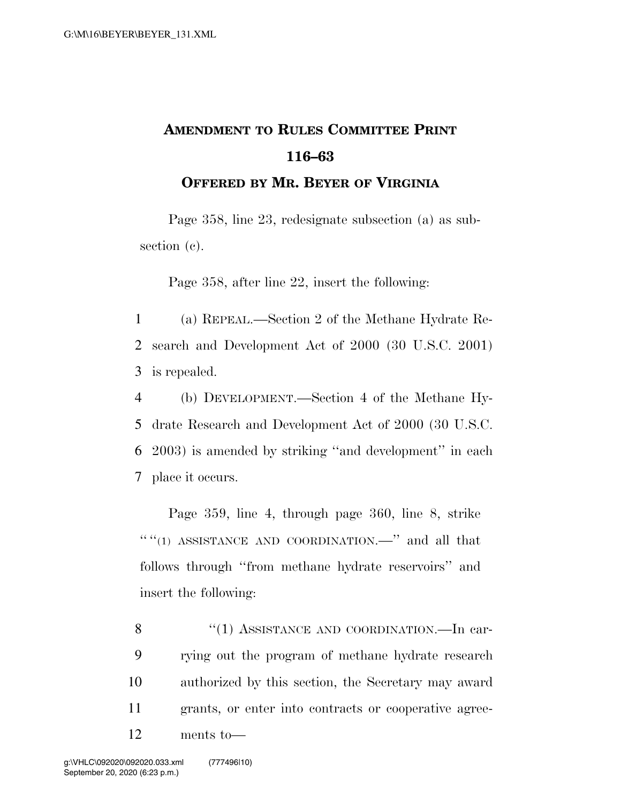## **AMENDMENT TO RULES COMMITTEE PRINT 116–63**

**OFFERED BY MR. BEYER OF VIRGINIA**

Page 358, line 23, redesignate subsection (a) as subsection (c).

Page 358, after line 22, insert the following:

1 (a) REPEAL.—Section 2 of the Methane Hydrate Re-2 search and Development Act of 2000 (30 U.S.C. 2001) 3 is repealed.

 (b) DEVELOPMENT.—Section 4 of the Methane Hy- drate Research and Development Act of 2000 (30 U.S.C. 2003) is amended by striking ''and development'' in each place it occurs.

Page 359, line 4, through page 360, line 8, strike  $````(1)$  ASSISTANCE AND COORDINATION.—" and all that follows through ''from methane hydrate reservoirs'' and insert the following:

8 "(1) ASSISTANCE AND COORDINATION.—In car- rying out the program of methane hydrate research authorized by this section, the Secretary may award grants, or enter into contracts or cooperative agree-ments to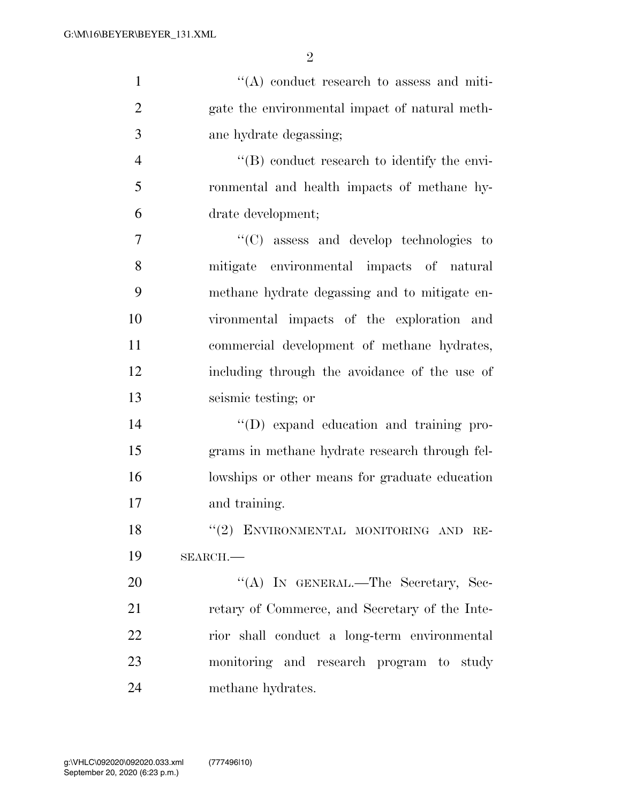| $\mathbf{1}$   | $\lq\lq$ conduct research to assess and miti-       |
|----------------|-----------------------------------------------------|
| $\overline{2}$ | gate the environmental impact of natural meth-      |
| 3              | ane hydrate degassing;                              |
| $\overline{4}$ | $\lq\lq$ (B) conduct research to identify the envi- |
| 5              | ronmental and health impacts of methane hy-         |
| 6              | drate development;                                  |
| $\overline{7}$ | $\lq\lq$ (C) assess and develop technologies to     |
| 8              | mitigate environmental impacts of natural           |
| 9              | methane hydrate degassing and to mitigate en-       |
| 10             | vironmental impacts of the exploration and          |
| 11             | commercial development of methane hydrates,         |
| 12             | including through the avoidance of the use of       |
| 13             | seismic testing; or                                 |
| 14             | "(D) expand education and training pro-             |
| 15             | grams in methane hydrate research through fel-      |
| 16             | lowships or other means for graduate education      |
| 17             | and training.                                       |
| 18             | "(2) ENVIRONMENTAL MONITORING AND RE-               |
| 19             | $SEARCH$ .                                          |
| 20             | "(A) IN GENERAL.—The Secretary, Sec-                |
| 21             | retary of Commerce, and Secretary of the Inte-      |
| 22             | rior shall conduct a long-term environmental        |
| 23             | monitoring and research program to study            |
| 24             | methane hydrates.                                   |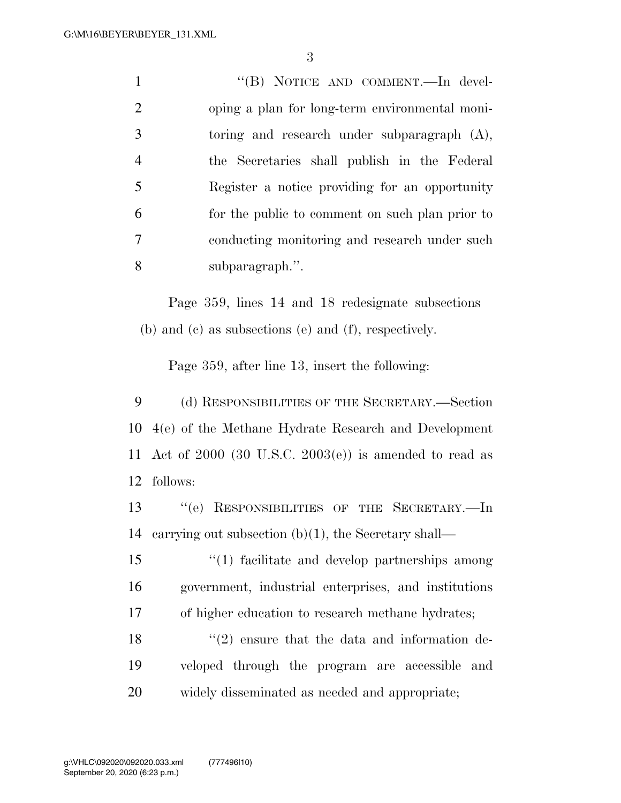1 ''(B) NOTICE AND COMMENT.—In devel- oping a plan for long-term environmental moni- toring and research under subparagraph (A), the Secretaries shall publish in the Federal Register a notice providing for an opportunity for the public to comment on such plan prior to conducting monitoring and research under such subparagraph.''.

Page 359, lines 14 and 18 redesignate subsections (b) and (c) as subsections (e) and (f), respectively.

Page 359, after line 13, insert the following:

 (d) RESPONSIBILITIES OF THE SECRETARY.—Section 4(e) of the Methane Hydrate Research and Development Act of 2000 (30 U.S.C. 2003(e)) is amended to read as follows:

 ''(e) RESPONSIBILITIES OF THE SECRETARY.—In carrying out subsection (b)(1), the Secretary shall—

 ''(1) facilitate and develop partnerships among government, industrial enterprises, and institutions of higher education to research methane hydrates;

18  $\langle \cdot (2) \rangle$  ensure that the data and information de- veloped through the program are accessible and widely disseminated as needed and appropriate;